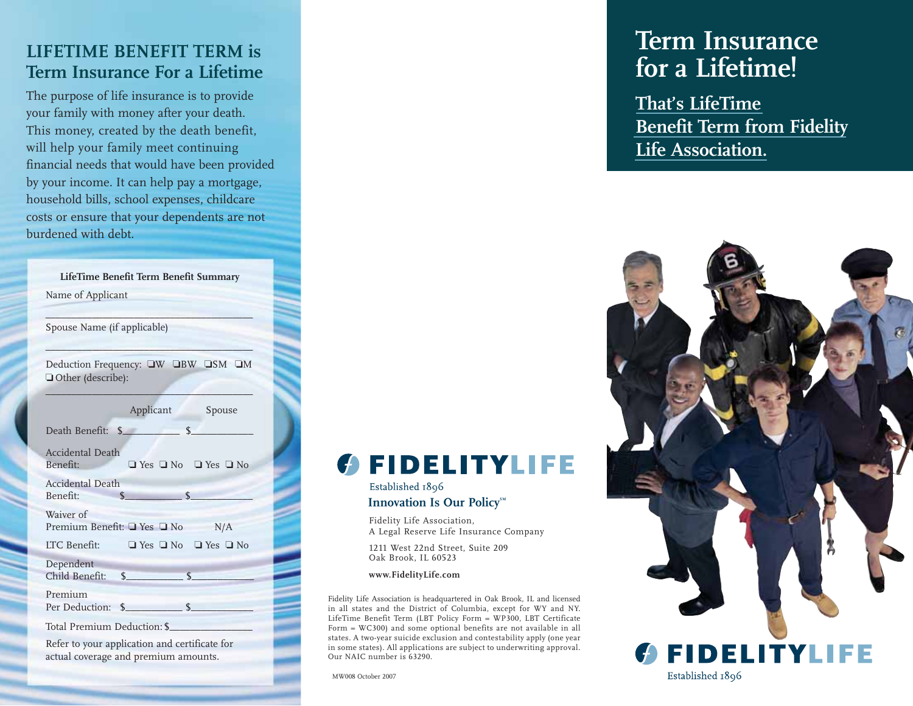#### **LIFETIME BENEFIT TERM is Term Insurance For a Lifetime**

The purpose of life insurance is to provide your family with money after your death. This money, created by the death benefit, will help your family meet continuing financial needs that would have been provided by your income. It can help pay a mortgage, household bills, school expenses, childcare costs or ensure that your dependents are not burdened with debt.

|                                | LifeTime Benefit Term Benefit Summary                                                 |
|--------------------------------|---------------------------------------------------------------------------------------|
| Name of Applicant              |                                                                                       |
|                                |                                                                                       |
| Spouse Name (if applicable)    |                                                                                       |
|                                |                                                                                       |
| Other (describe):              | Deduction Frequency: UW UBW USM UM                                                    |
|                                |                                                                                       |
|                                | Applicant<br>Spouse                                                                   |
| Death Benefit: \$              | $\mathsf{S}$                                                                          |
|                                |                                                                                       |
| Accidental Death               |                                                                                       |
| Benefit:                       | $\Box$ Yes $\Box$ No $\Box$ Yes $\Box$ No                                             |
| Accidental Death               | $\frac{1}{2}$                                                                         |
| Benefit:                       |                                                                                       |
| Waiver of                      | Premium Benefit: □ Yes □ No<br>N/A                                                    |
|                                |                                                                                       |
|                                | LTC Benefit: $\Box$ Yes $\Box$ No $\Box$ Yes $\Box$ No                                |
| Dependent<br>Child Benefit: \$ | $\mathcal{S}$                                                                         |
|                                |                                                                                       |
| Premium<br>Per Deduction:      | $\sim$<br>$\mathcal{S}$                                                               |
|                                |                                                                                       |
| Total Premium Deduction: \$    |                                                                                       |
|                                | Refer to your application and certificate for<br>actual coverage and premium amounts. |

## **Term Insurance for a Lifetime!**

**That's LifeTime Benefit Term from Fidelity Life Association.**



MW008 October 2007

Our NAIC number is 63290.

Fidelity Life Association,

Oak Brook, IL 60523 **www.FidelityLife.com**

Established 1896

A Legal Reserve Life Insurance Company

**GEIDELITYLIFE** 

Fidelity Life Association is headquartered in Oak Brook, IL and licensed in all states and the District of Columbia, except for WY and NY. LifeTime Benefit Term (LBT Policy Form = WP300, LBT Certificate Form = WC300) and some optional benefits are not available in all states. A two-year suicide exclusion and contestability apply (one year in some states). All applications are subject to underwriting approval.

1211 West 22nd Street, Suite 209

**Innovation Is Our Policy<sup>SM</sup>**